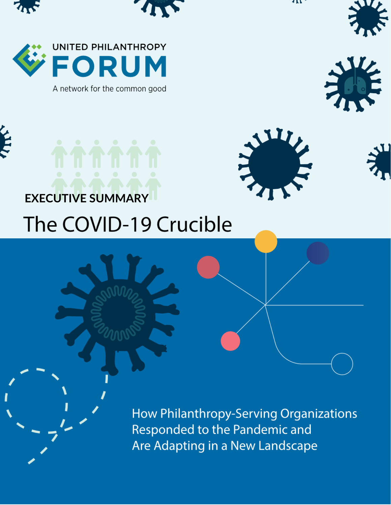











UNITED PHILANTHROPY







## **EXECUTIVE SUMMARY**

# The COVID-19 Crucible

How Philanthropy-Serving Organizations Responded to the Pandemic and Are Adapting in a New Landscape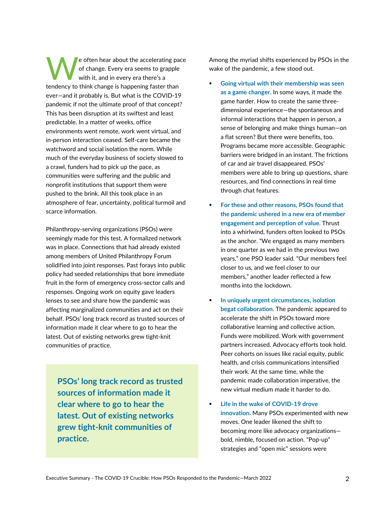e often hear about the accelerating pace of change. Every era seems to grapple with it, and in every era there's a tendency to think change is happening faster than ever—and it probably is. But what is the COVID-19 pandemic if not the ultimate proof of that concept? This has been disruption at its swiftest and least predictable. In a matter of weeks, office environments went remote, work went virtual, and in-person interaction ceased. Self-care became the watchword and social isolation the norm. While much of the everyday business of society slowed to a crawl, funders had to pick up the pace, as communities were suffering and the public and nonprofit institutions that support them were pushed to the brink. All this took place in an atmosphere of fear, uncertainty, political turmoil and scarce information. W

Philanthropy-serving organizations (PSOs) were seemingly made for this test. A formalized network was in place. Connections that had already existed among members of United Philanthropy Forum solidified into joint responses. Past forays into public policy had seeded relationships that bore immediate fruit in the form of emergency cross-sector calls and responses. Ongoing work on equity gave leaders lenses to see and share how the pandemic was affecting marginalized communities and act on their behalf. PSOs' long track record as trusted sources of information made it clear where to go to hear the latest. Out of existing networks grew tight-knit communities of practice.

**PSOs' long track record as trusted sources of information made it clear where to go to hear the latest. Out of existing networks grew tight-knit communities of practice.**

Among the myriad shifts experienced by PSOs in the wake of the pandemic, a few stood out.

- **Going virtual with their membership was seen as a game changer.** In some ways, it made the game harder. How to create the same threedimensional experience—the spontaneous and informal interactions that happen in person, a sense of belonging and make things human—on a flat screen? But there were benefits, too. Programs became more accessible. Geographic barriers were bridged in an instant. The frictions of car and air travel disappeared. PSOs' members were able to bring up questions, share resources, and find connections in real time through chat features.
- **For these and other reasons, PSOs found that the pandemic ushered in a new era of member engagement and perception of value.** Thrust into a whirlwind, funders often looked to PSOs as the anchor. "We engaged as many members in one quarter as we had in the previous two years," one PSO leader said. "Our members feel closer to us, and we feel closer to our members," another leader reflected a few months into the lockdown.
- **In uniquely urgent circumstances, isolation begat collaboration.** The pandemic appeared to accelerate the shift in PSOs toward more collaborative learning and collective action. Funds were mobilized. Work with government partners increased. Advocacy efforts took hold. Peer cohorts on issues like racial equity, public health, and crisis communications intensified their work. At the same time, while the pandemic made collaboration imperative, the new virtual medium made it harder to do.
- **Life in the wake of COVID-19 drove innovation.** Many PSOs experimented with new moves. One leader likened the shift to becoming more like advocacy organizations bold, nimble, focused on action. "Pop-up" strategies and "open mic" sessions were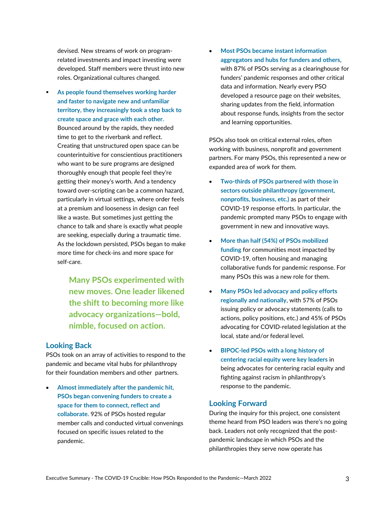devised. New streams of work on programrelated investments and impact investing were developed. Staff members were thrust into new roles. Organizational cultures changed.

 **As people found themselves working harder and faster to navigate new and unfamiliar territory, they increasingly took a step back to create space and grace with each other.**  Bounced around by the rapids, they needed time to get to the riverbank and reflect. Creating that unstructured open space can be counterintuitive for conscientious practitioners who want to be sure programs are designed thoroughly enough that people feel they're getting their money's worth. And a tendency toward over-scripting can be a common hazard, particularly in virtual settings, where order feels at a premium and looseness in design can feel like a waste. But sometimes just getting the chance to talk and share is exactly what people are seeking, especially during a traumatic time. As the lockdown persisted, PSOs began to make more time for check-ins and more space for self-care.

> **Many PSOs experimented with new moves. One leader likened the shift to becoming more like advocacy organizations—bold, nimble, focused on action.**

### **Looking Back**

PSOs took on an array of activities to respond to the pandemic and became vital hubs for philanthropy for their foundation members and other partners.

• **Almost immediately after the pandemic hit, PSOs began convening funders to create a space for them to connect, reflect and collaborate.** 92% of PSOs hosted regular member calls and conducted virtual convenings focused on specific issues related to the pandemic.

• **Most PSOs became instant information aggregators and hubs for funders and others**, with 87% of PSOs serving as a clearinghouse for funders' pandemic responses and other critical data and information. Nearly every PSO developed a resource page on their websites, sharing updates from the field, information about response funds, insights from the sector and learning opportunities.

PSOs also took on critical external roles, often working with business, nonprofit and government partners. For many PSOs, this represented a new or expanded area of work for them.

- **Two-thirds of PSOs partnered with those in sectors outside philanthropy (government, nonprofits, business, etc.)** as part of their COVID-19 response efforts. In particular, the pandemic prompted many PSOs to engage with government in new and innovative ways.
- **More than half (54%) of PSOs mobilized funding** for communities most impacted by COVID-19, often housing and managing collaborative funds for pandemic response. For many PSOs this was a new role for them.
- **Many PSOs led advocacy and policy efforts regionally and nationally**, with 57% of PSOs issuing policy or advocacy statements (calls to actions, policy positions, etc.) and 45% of PSOs advocating for COVID-related legislation at the local, state and/or federal level.
- **BIPOC-led PSOs with a long history of centering racial equity were key leaders** in being advocates for centering racial equity and fighting against racism in philanthropy's response to the pandemic.

#### **Looking Forward**

During the inquiry for this project, one consistent theme heard from PSO leaders was there's no going back. Leaders not only recognized that the postpandemic landscape in which PSOs and the philanthropies they serve now operate has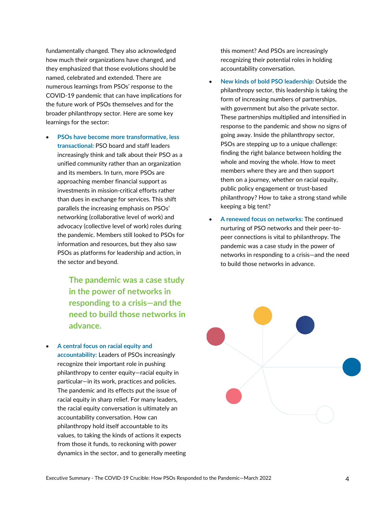fundamentally changed. They also acknowledged how much their organizations have changed, and they emphasized that those evolutions should be named, celebrated and extended. There are numerous learnings from PSOs' response to the COVID-19 pandemic that can have implications for the future work of PSOs themselves and for the broader philanthropy sector. Here are some key learnings for the sector:

• **PSOs have become more transformative, less transactional:** PSO board and staff leaders increasingly think and talk about their PSO as a unified community rather than an organization and its members. In turn, more PSOs are approaching member financial support as investments in mission-critical efforts rather than dues in exchange for services. This shift parallels the increasing emphasis on PSOs' networking (collaborative level of work) and advocacy (collective level of work) roles during the pandemic. Members still looked to PSOs for information and resources, but they also saw PSOs as platforms for leadership and action, in the sector and beyond.

> **The pandemic was a case study in the power of networks in responding to a crisis—and the need to build those networks in advance.**

• **A central focus on racial equity and** 

**accountability:** Leaders of PSOs increasingly recognize their important role in pushing philanthropy to center equity—racial equity in particular—in its work, practices and policies. The pandemic and its effects put the issue of racial equity in sharp relief. For many leaders, the racial equity conversation is ultimately an accountability conversation. How can philanthropy hold itself accountable to its values, to taking the kinds of actions it expects from those it funds, to reckoning with power dynamics in the sector, and to generally meeting this moment? And PSOs are increasingly recognizing their potential roles in holding accountability conversation.

- **New kinds of bold PSO leadership:** Outside the philanthropy sector, this leadership is taking the form of increasing numbers of partnerships, with government but also the private sector. These partnerships multiplied and intensified in response to the pandemic and show no signs of going away. Inside the philanthropy sector, PSOs are stepping up to a unique challenge: finding the right balance between holding the whole and moving the whole. How to meet members where they are and then support them on a journey, whether on racial equity, public policy engagement or trust-based philanthropy? How to take a strong stand while keeping a big tent?
- **A renewed focus on networks:** The continued nurturing of PSO networks and their peer-topeer connections is vital to philanthropy. The pandemic was a case study in the power of networks in responding to a crisis—and the need to build those networks in advance.